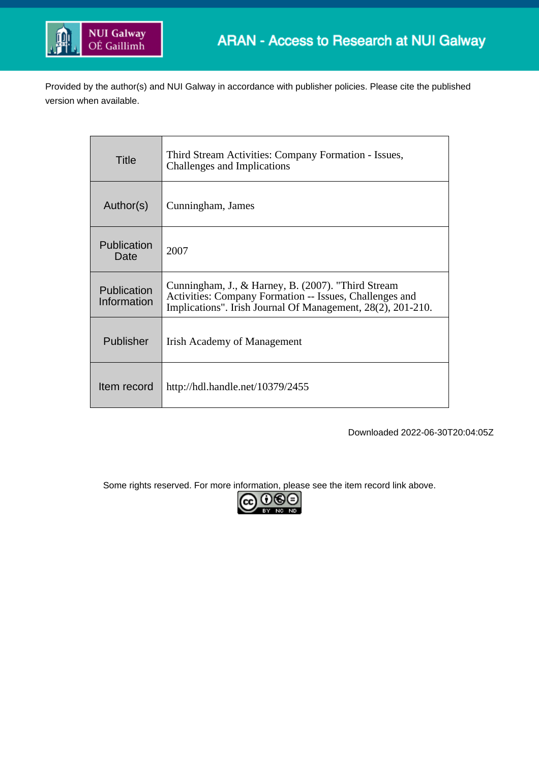

Provided by the author(s) and NUI Galway in accordance with publisher policies. Please cite the published version when available.

| Title                      | Third Stream Activities: Company Formation - Issues,<br>Challenges and Implications                                                                                          |
|----------------------------|------------------------------------------------------------------------------------------------------------------------------------------------------------------------------|
| Author(s)                  | Cunningham, James                                                                                                                                                            |
| Publication<br>Date        | 2007                                                                                                                                                                         |
| Publication<br>Information | Cunningham, J., & Harney, B. (2007). "Third Stream<br>Activities: Company Formation -- Issues, Challenges and<br>Implications". Irish Journal Of Management, 28(2), 201-210. |
| Publisher                  | Irish Academy of Management                                                                                                                                                  |
| Item record                | http://hdl.handle.net/10379/2455                                                                                                                                             |

Downloaded 2022-06-30T20:04:05Z

Some rights reserved. For more information, please see the item record link above.

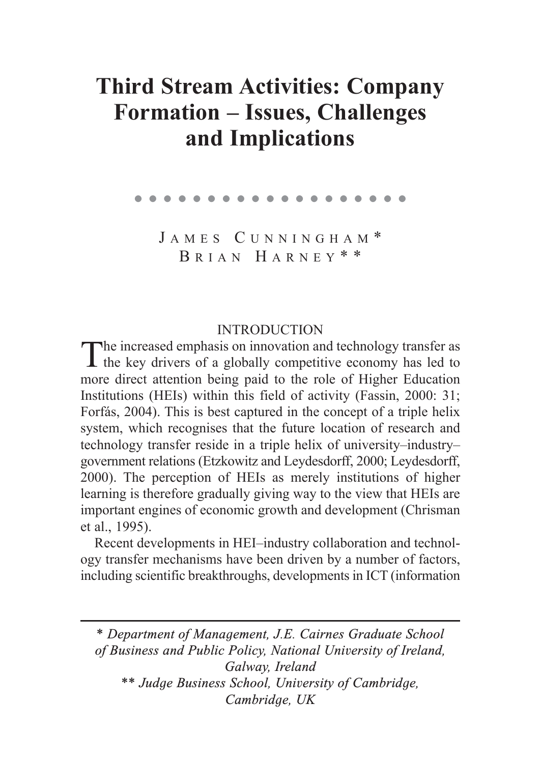# **Third Stream Activities: Company Formation – Issues, Challenges and Implications**

#### ●●●●●●●●●●●●●●●●●●●

JAMES CUNNINGHAM\* B RIAN H ARNEY \* \*

### INTRODUCTION

The increased emphasis on innovation and technology transfer as<br>the key drivers of a globally competitive economy has led to more direct attention being paid to the role of Higher Education Institutions (HEIs) within this field of activity (Fassin, 2000: 31; Forfás, 2004). This is best captured in the concept of a triple helix system, which recognises that the future location of research and technology transfer reside in a triple helix of university–industry– government relations (Etzkowitz and Leydesdorff, 2000; Leydesdorff, 2000). The perception of HEIs as merely institutions of higher learning is therefore gradually giving way to the view that HEIs are important engines of economic growth and development (Chrisman et al., 1995).

Recent developments in HEI–industry collaboration and technology transfer mechanisms have been driven by a number of factors, including scientific breakthroughs, developments in ICT (information

*\* Department of Management, J.E. Cairnes Graduate School of Business and Public Policy, National University of Ireland, Galway, Ireland \*\* Judge Business School, University of Cambridge, Cambridge, UK*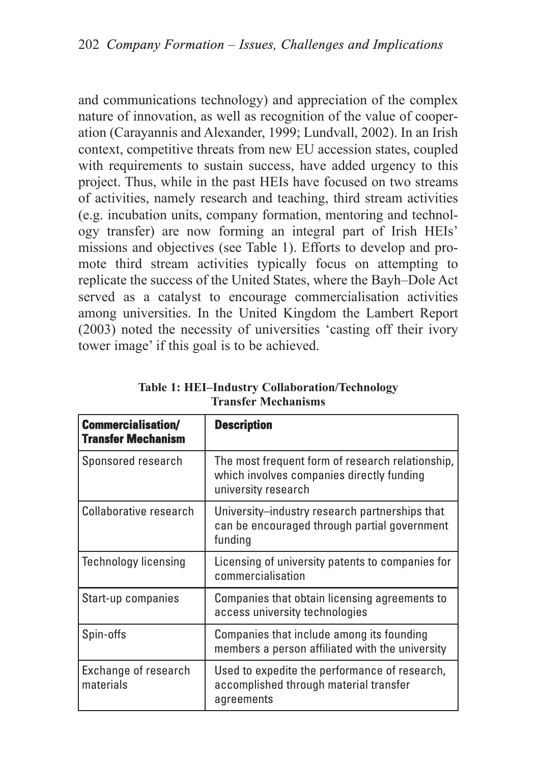and communications technology) and appreciation of the complex nature of innovation, as well as recognition of the value of cooperation (Carayannis and Alexander, 1999; Lundvall, 2002). In an Irish context, competitive threats from new EU accession states, coupled with requirements to sustain success, have added urgency to this project. Thus, while in the past HEIs have focused on two streams of activities, namely research and teaching, third stream activities (e.g. incubation units, company formation, mentoring and technology transfer) are now forming an integral part of Irish HEIs' missions and objectives (see Table 1). Efforts to develop and promote third stream activities typically focus on attempting to replicate the success of the United States, where the Bayh–Dole Act served as a catalyst to encourage commercialisation activities among universities. In the United Kingdom the Lambert Report (2003) noted the necessity of universities 'casting off their ivory tower image' if this goal is to be achieved.

| <b>Commercialisation/</b><br><b>Transfer Mechanism</b> | <b>Description</b>                                                                                                   |
|--------------------------------------------------------|----------------------------------------------------------------------------------------------------------------------|
| Sponsored research                                     | The most frequent form of research relationship,<br>which involves companies directly funding<br>university research |
| Collaborative research                                 | University-industry research partnerships that<br>can be encouraged through partial government<br>funding            |
| <b>Technology licensing</b>                            | Licensing of university patents to companies for<br>commercialisation                                                |
| Start-up companies                                     | Companies that obtain licensing agreements to<br>access university technologies                                      |
| Spin-offs                                              | Companies that include among its founding<br>members a person affiliated with the university                         |
| Exchange of research<br>materials                      | Used to expedite the performance of research,<br>accomplished through material transfer<br>agreements                |

**Table 1: HEI–Industry Collaboration/Technology Transfer Mechanisms**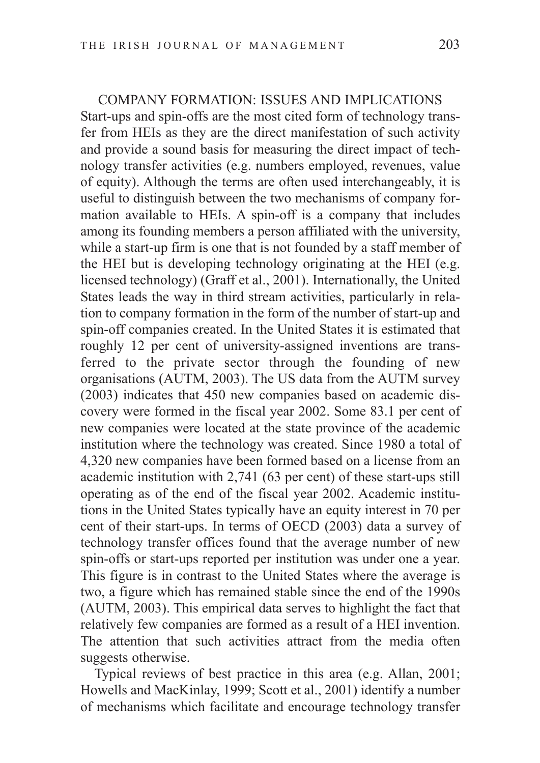### COMPANY FORMATION: ISSUES AND IMPLICATIONS

Start-ups and spin-offs are the most cited form of technology transfer from HEIs as they are the direct manifestation of such activity and provide a sound basis for measuring the direct impact of technology transfer activities (e.g. numbers employed, revenues, value of equity). Although the terms are often used interchangeably, it is useful to distinguish between the two mechanisms of company formation available to HEIs. A spin-off is a company that includes among its founding members a person affiliated with the university, while a start-up firm is one that is not founded by a staff member of the HEI but is developing technology originating at the HEI (e.g. licensed technology) (Graff et al., 2001). Internationally, the United States leads the way in third stream activities, particularly in relation to company formation in the form of the number of start-up and spin-off companies created. In the United States it is estimated that roughly 12 per cent of university-assigned inventions are transferred to the private sector through the founding of new organisations (AUTM, 2003). The US data from the AUTM survey (2003) indicates that 450 new companies based on academic discovery were formed in the fiscal year 2002. Some 83.1 per cent of new companies were located at the state province of the academic institution where the technology was created. Since 1980 a total of 4,320 new companies have been formed based on a license from an academic institution with 2,741 (63 per cent) of these start-ups still operating as of the end of the fiscal year 2002. Academic institutions in the United States typically have an equity interest in 70 per cent of their start-ups. In terms of OECD (2003) data a survey of technology transfer offices found that the average number of new spin-offs or start-ups reported per institution was under one a year. This figure is in contrast to the United States where the average is two, a figure which has remained stable since the end of the 1990s (AUTM, 2003). This empirical data serves to highlight the fact that relatively few companies are formed as a result of a HEI invention. The attention that such activities attract from the media often suggests otherwise.

Typical reviews of best practice in this area (e.g. Allan, 2001; Howells and MacKinlay, 1999; Scott et al., 2001) identify a number of mechanisms which facilitate and encourage technology transfer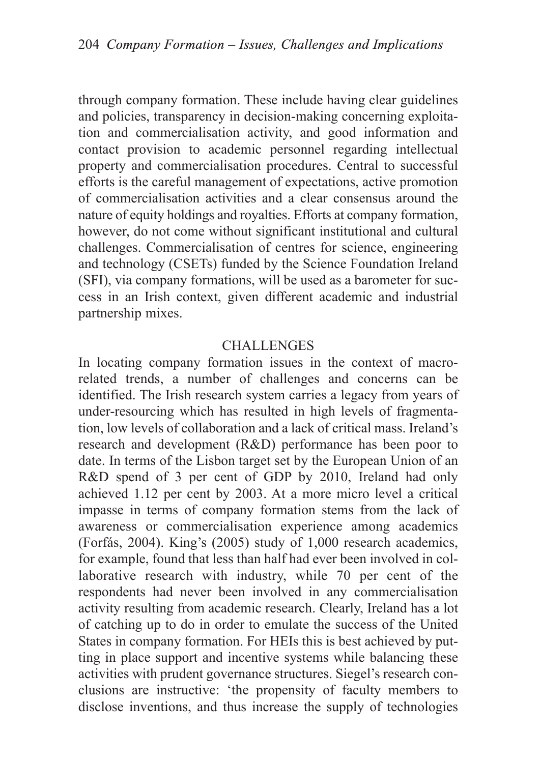through company formation. These include having clear guidelines and policies, transparency in decision-making concerning exploitation and commercialisation activity, and good information and contact provision to academic personnel regarding intellectual property and commercialisation procedures. Central to successful efforts is the careful management of expectations, active promotion of commercialisation activities and a clear consensus around the nature of equity holdings and royalties. Efforts at company formation, however, do not come without significant institutional and cultural challenges. Commercialisation of centres for science, engineering and technology (CSETs) funded by the Science Foundation Ireland (SFI), via company formations, will be used as a barometer for success in an Irish context, given different academic and industrial partnership mixes.

## **CHALLENGES**

In locating company formation issues in the context of macrorelated trends, a number of challenges and concerns can be identified. The Irish research system carries a legacy from years of under-resourcing which has resulted in high levels of fragmentation, low levels of collaboration and a lack of critical mass. Ireland's research and development (R&D) performance has been poor to date. In terms of the Lisbon target set by the European Union of an R&D spend of 3 per cent of GDP by 2010, Ireland had only achieved 1.12 per cent by 2003. At a more micro level a critical impasse in terms of company formation stems from the lack of awareness or commercialisation experience among academics (Forfás, 2004). King's (2005) study of 1,000 research academics, for example, found that less than half had ever been involved in collaborative research with industry, while 70 per cent of the respondents had never been involved in any commercialisation activity resulting from academic research. Clearly, Ireland has a lot of catching up to do in order to emulate the success of the United States in company formation. For HEIs this is best achieved by putting in place support and incentive systems while balancing these activities with prudent governance structures. Siegel's research conclusions are instructive: 'the propensity of faculty members to disclose inventions, and thus increase the supply of technologies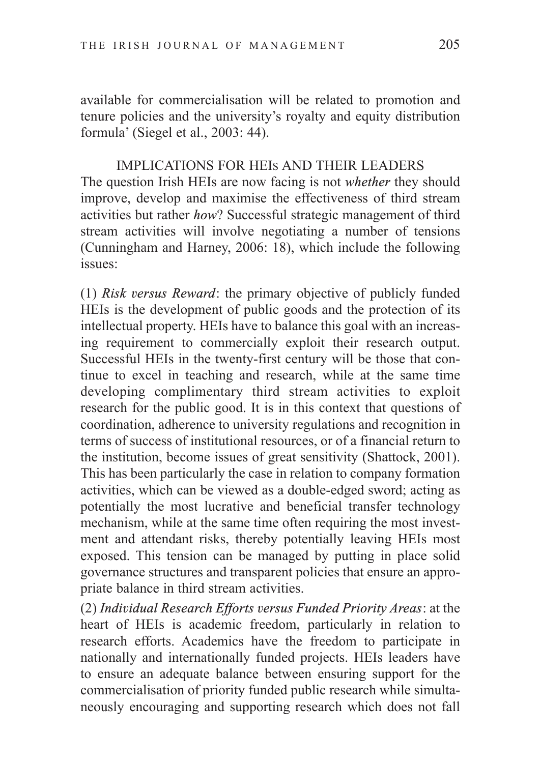available for commercialisation will be related to promotion and tenure policies and the university's royalty and equity distribution formula' (Siegel et al., 2003: 44).

IMPLICATIONS FOR HEIS AND THEIR LEADERS The question Irish HEIs are now facing is not *whether* they should improve, develop and maximise the effectiveness of third stream activities but rather *how*? Successful strategic management of third stream activities will involve negotiating a number of tensions (Cunningham and Harney, 2006: 18), which include the following issues:

(1) *Risk versus Reward*: the primary objective of publicly funded HEIs is the development of public goods and the protection of its intellectual property. HEIs have to balance this goal with an increasing requirement to commercially exploit their research output. Successful HEIs in the twenty-first century will be those that continue to excel in teaching and research, while at the same time developing complimentary third stream activities to exploit research for the public good. It is in this context that questions of coordination, adherence to university regulations and recognition in terms of success of institutional resources, or of a financial return to the institution, become issues of great sensitivity (Shattock, 2001). This has been particularly the case in relation to company formation activities, which can be viewed as a double-edged sword; acting as potentially the most lucrative and beneficial transfer technology mechanism, while at the same time often requiring the most investment and attendant risks, thereby potentially leaving HEIs most exposed. This tension can be managed by putting in place solid governance structures and transparent policies that ensure an appropriate balance in third stream activities.

(2) *Individual Research Efforts versus Funded Priority Areas*: at the heart of HEIs is academic freedom, particularly in relation to research efforts. Academics have the freedom to participate in nationally and internationally funded projects. HEIs leaders have to ensure an adequate balance between ensuring support for the commercialisation of priority funded public research while simultaneously encouraging and supporting research which does not fall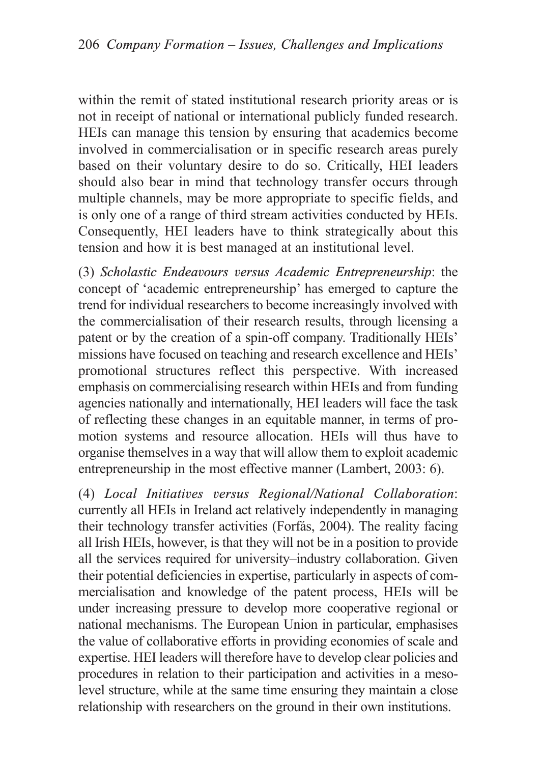within the remit of stated institutional research priority areas or is not in receipt of national or international publicly funded research. HEIs can manage this tension by ensuring that academics become involved in commercialisation or in specific research areas purely based on their voluntary desire to do so. Critically, HEI leaders should also bear in mind that technology transfer occurs through multiple channels, may be more appropriate to specific fields, and is only one of a range of third stream activities conducted by HEIs. Consequently, HEI leaders have to think strategically about this tension and how it is best managed at an institutional level.

(3) *Scholastic Endeavours versus Academic Entrepreneurship*: the concept of 'academic entrepreneurship' has emerged to capture the trend for individual researchers to become increasingly involved with the commercialisation of their research results, through licensing a patent or by the creation of a spin-off company. Traditionally HEIs' missions have focused on teaching and research excellence and HEIs' promotional structures reflect this perspective. With increased emphasis on commercialising research within HEIs and from funding agencies nationally and internationally, HEI leaders will face the task of reflecting these changes in an equitable manner, in terms of promotion systems and resource allocation. HEIs will thus have to organise themselves in a way that will allow them to exploit academic entrepreneurship in the most effective manner (Lambert, 2003: 6).

(4) *Local Initiatives versus Regional/National Collaboration*: currently all HEIs in Ireland act relatively independently in managing their technology transfer activities (Forfás, 2004). The reality facing all Irish HEIs, however, is that they will not be in a position to provide all the services required for university–industry collaboration. Given their potential deficiencies in expertise, particularly in aspects of commercialisation and knowledge of the patent process, HEIs will be under increasing pressure to develop more cooperative regional or national mechanisms. The European Union in particular, emphasises the value of collaborative efforts in providing economies of scale and expertise. HEI leaders will therefore have to develop clear policies and procedures in relation to their participation and activities in a mesolevel structure, while at the same time ensuring they maintain a close relationship with researchers on the ground in their own institutions.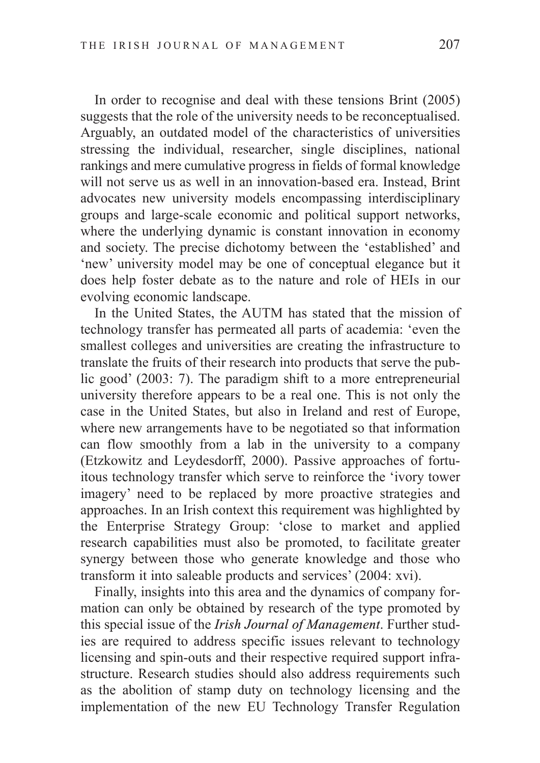In order to recognise and deal with these tensions Brint (2005) suggests that the role of the university needs to be reconceptualised. Arguably, an outdated model of the characteristics of universities stressing the individual, researcher, single disciplines, national rankings and mere cumulative progress in fields of formal knowledge will not serve us as well in an innovation-based era. Instead, Brint advocates new university models encompassing interdisciplinary groups and large-scale economic and political support networks, where the underlying dynamic is constant innovation in economy and society. The precise dichotomy between the 'established' and 'new' university model may be one of conceptual elegance but it does help foster debate as to the nature and role of HEIs in our evolving economic landscape.

In the United States, the AUTM has stated that the mission of technology transfer has permeated all parts of academia: 'even the smallest colleges and universities are creating the infrastructure to translate the fruits of their research into products that serve the public good' (2003: 7). The paradigm shift to a more entrepreneurial university therefore appears to be a real one. This is not only the case in the United States, but also in Ireland and rest of Europe, where new arrangements have to be negotiated so that information can flow smoothly from a lab in the university to a company (Etzkowitz and Leydesdorff, 2000). Passive approaches of fortuitous technology transfer which serve to reinforce the 'ivory tower imagery' need to be replaced by more proactive strategies and approaches. In an Irish context this requirement was highlighted by the Enterprise Strategy Group: 'close to market and applied research capabilities must also be promoted, to facilitate greater synergy between those who generate knowledge and those who transform it into saleable products and services' (2004: xvi).

Finally, insights into this area and the dynamics of company formation can only be obtained by research of the type promoted by this special issue of the *Irish Journal of Management*. Further studies are required to address specific issues relevant to technology licensing and spin-outs and their respective required support infrastructure. Research studies should also address requirements such as the abolition of stamp duty on technology licensing and the implementation of the new EU Technology Transfer Regulation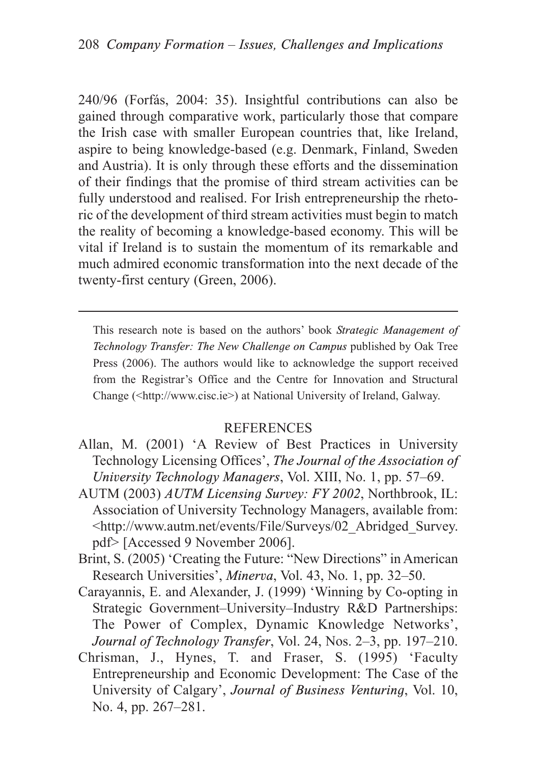240/96 (Forfás, 2004: 35). Insightful contributions can also be gained through comparative work, particularly those that compare the Irish case with smaller European countries that, like Ireland, aspire to being knowledge-based (e.g. Denmark, Finland, Sweden and Austria). It is only through these efforts and the dissemination of their findings that the promise of third stream activities can be fully understood and realised. For Irish entrepreneurship the rhetoric of the development of third stream activities must begin to match the reality of becoming a knowledge-based economy. This will be vital if Ireland is to sustain the momentum of its remarkable and much admired economic transformation into the next decade of the twenty-first century (Green, 2006).

This research note is based on the authors' book *Strategic Management of Technology Transfer: The New Challenge on Campus* published by Oak Tree Press (2006). The authors would like to acknowledge the support received from the Registrar's Office and the Centre for Innovation and Structural Change (<http://www.cisc.ie>) at National University of Ireland, Galway.

## **REFERENCES**

- Allan, M. (2001) 'A Review of Best Practices in University Technology Licensing Offices', *The Journal of the Association of University Technology Managers*, Vol. XIII, No. 1, pp. 57–69.
- AUTM (2003) *AUTM Licensing Survey: FY 2002*, Northbrook, IL: Association of University Technology Managers, available from: <http://www.autm.net/events/File/Surveys/02\_Abridged\_Survey. pdf> [Accessed 9 November 2006].
- Brint, S. (2005) 'Creating the Future: "New Directions" in American Research Universities', *Minerva*, Vol. 43, No. 1, pp. 32–50.
- Carayannis, E. and Alexander, J. (1999) 'Winning by Co-opting in Strategic Government–University–Industry R&D Partnerships: The Power of Complex, Dynamic Knowledge Networks', *Journal of Technology Transfer*, Vol. 24, Nos. 2–3, pp. 197–210.
- Chrisman, J., Hynes, T. and Fraser, S. (1995) 'Faculty Entrepreneurship and Economic Development: The Case of the University of Calgary', *Journal of Business Venturing*, Vol. 10, No. 4, pp. 267–281.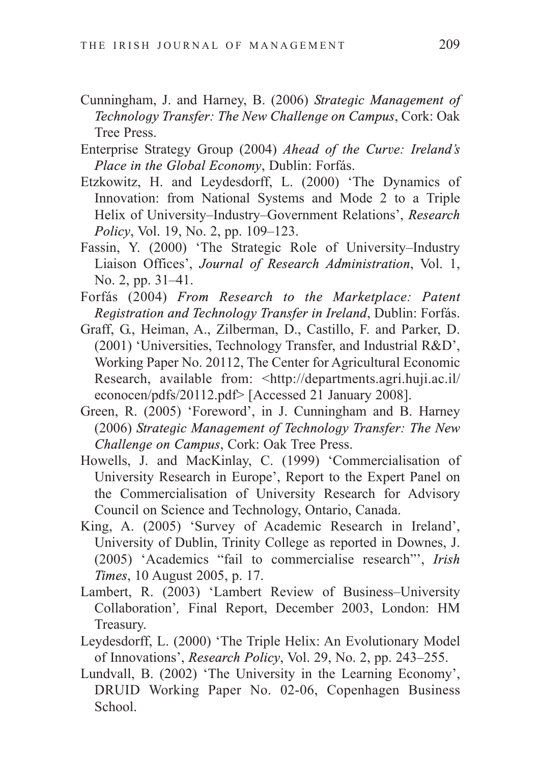- Cunningham, J. and Harney, B. (2006) *Strategic Management of Technology Transfer: The New Challenge on Campus*, Cork: Oak Tree Press.
- Enterprise Strategy Group (2004) *Ahead of the Curve: Ireland's Place in the Global Economy*, Dublin: Forfás.
- Etzkowitz, H. and Leydesdorff, L. (2000) 'The Dynamics of Innovation: from National Systems and Mode 2 to a Triple Helix of University–Industry–Government Relations', *Research Policy*, *Vol.* 19, *No.* 2, pp. 109–123.
- Fassin, Y. (2000) 'The Strategic Role of University–Industry Liaison Offices', *Journal of Research Administration*, Vol. 1, No. 2, pp. 31–41.
- Forfás (2004) *From Research to the Marketplace: Patent Registration and Technology Transfer in Ireland*, Dublin: Forfás.
- Graff, G., Heiman, A., Zilberman, D., Castillo, F. and Parker, D. (2001) 'Universities, Technology Transfer, and Industrial R&D', Working Paper No. 20112, The Center for Agricultural Economic Research, available from: <http://departments.agri.huji.ac.il/ econocen/pdfs/20112.pdf> [Accessed 21 January 2008].
- Green, R. (2005) 'Foreword', in J. Cunningham and B. Harney (2006) *Strategic Management of Technology Transfer: The New Challenge on Campus*, Cork: Oak Tree Press.
- Howells, J. and MacKinlay, C. (1999) 'Commercialisation of University Research in Europe', Report to the Expert Panel on the Commercialisation of University Research for Advisory Council on Science and Technology, Ontario, Canada.
- King, A. (2005) 'Survey of Academic Research in Ireland', University of Dublin, Trinity College as reported in Downes, J. (2005) 'Academics "fail to commercialise research"', *Irish Times*, 10 August 2005, p. 17.
- Lambert, R. (2003) 'Lambert Review of Business–University Collaboration'*,* Final Report, December 2003, London: HM Treasury.
- Leydesdorff, L. (2000) 'The Triple Helix: An Evolutionary Model of Innovations', *Research Policy*, Vol. 29, No. 2, pp. 243–255.
- Lundvall, B. (2002) 'The University in the Learning Economy', DRUID Working Paper No. 02-06, Copenhagen Business School.